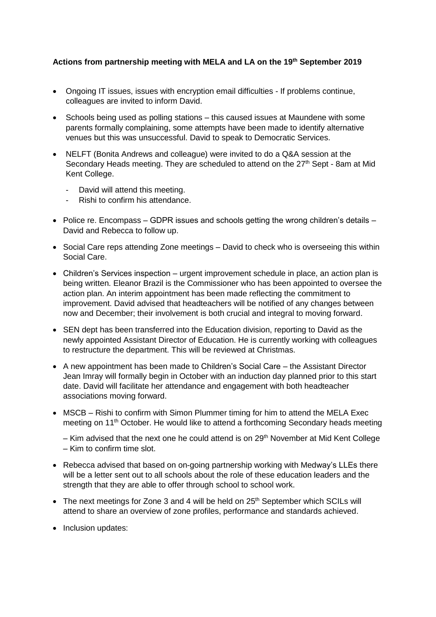## **Actions from partnership meeting with MELA and LA on the 19 th September 2019**

- Ongoing IT issues, issues with encryption email difficulties If problems continue, colleagues are invited to inform David.
- Schools being used as polling stations this caused issues at Maundene with some parents formally complaining, some attempts have been made to identify alternative venues but this was unsuccessful. David to speak to Democratic Services.
- NELFT (Bonita Andrews and colleague) were invited to do a Q&A session at the Secondary Heads meeting. They are scheduled to attend on the  $27<sup>th</sup>$  Sept - 8am at Mid Kent College.
	- David will attend this meeting.
	- Rishi to confirm his attendance.
- Police re. Encompass GDPR issues and schools getting the wrong children's details David and Rebecca to follow up.
- Social Care reps attending Zone meetings David to check who is overseeing this within Social Care.
- Children's Services inspection urgent improvement schedule in place, an action plan is being written. Eleanor Brazil is the Commissioner who has been appointed to oversee the action plan. An interim appointment has been made reflecting the commitment to improvement. David advised that headteachers will be notified of any changes between now and December; their involvement is both crucial and integral to moving forward.
- SEN dept has been transferred into the Education division, reporting to David as the newly appointed Assistant Director of Education. He is currently working with colleagues to restructure the department. This will be reviewed at Christmas.
- A new appointment has been made to Children's Social Care the Assistant Director Jean Imray will formally begin in October with an induction day planned prior to this start date. David will facilitate her attendance and engagement with both headteacher associations moving forward.
- MSCB Rishi to confirm with Simon Plummer timing for him to attend the MELA Exec meeting on 11<sup>th</sup> October. He would like to attend a forthcoming Secondary heads meeting

– Kim advised that the next one he could attend is on  $29<sup>th</sup>$  November at Mid Kent College – Kim to confirm time slot.

- Rebecca advised that based on on-going partnership working with Medway's LLEs there will be a letter sent out to all schools about the role of these education leaders and the strength that they are able to offer through school to school work.
- The next meetings for Zone 3 and 4 will be held on 25<sup>th</sup> September which SCILs will attend to share an overview of zone profiles, performance and standards achieved.
- Inclusion updates: